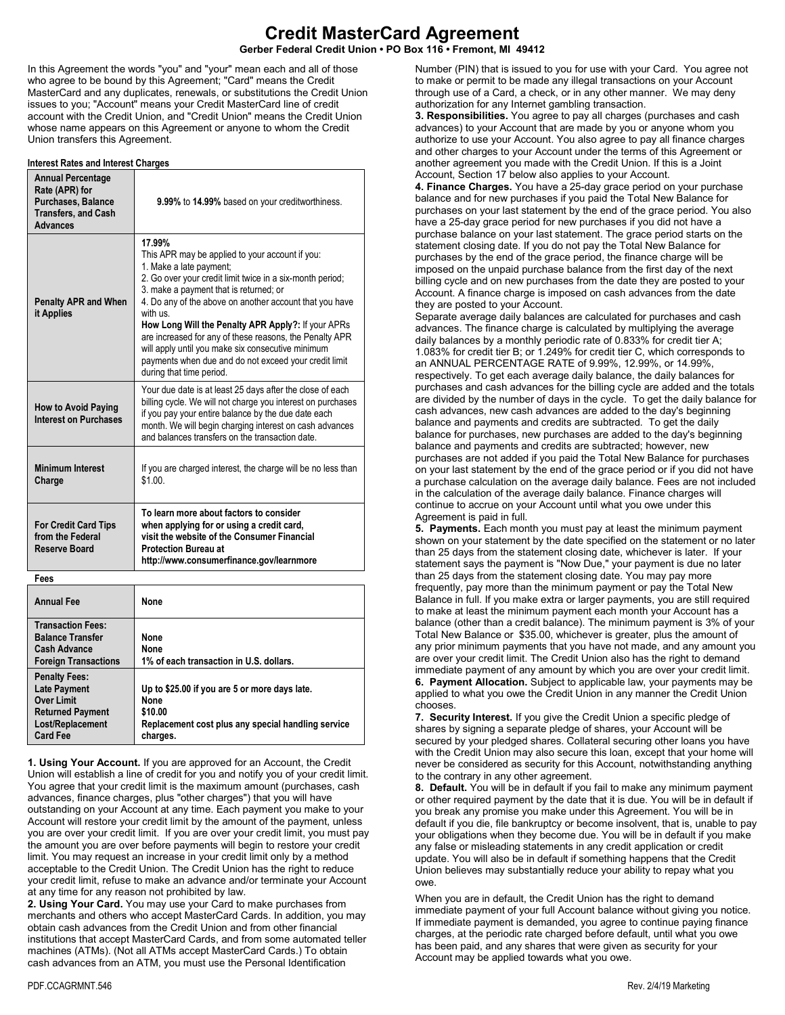# **Credit MasterCard Agreement**

**Gerber Federal Credit Union • PO Box 116 • Fremont, MI 49412**

In this Agreement the words "you" and "your" mean each and all of those who agree to be bound by this Agreement; "Card" means the Credit MasterCard and any duplicates, renewals, or substitutions the Credit Union issues to you; "Account" means your Credit MasterCard line of credit account with the Credit Union, and "Credit Union" means the Credit Union whose name appears on this Agreement or anyone to whom the Credit Union transfers this Agreement.

## **Interest Rates and Interest Charges**

| <b>Annual Percentage</b><br>Rate (APR) for<br>Purchases, Balance<br><b>Transfers, and Cash</b><br><b>Advances</b> | 9.99% to 14.99% based on your creditworthiness.                                                                                                                                                                                                                                                                                                                                                                                                                                                                              |
|-------------------------------------------------------------------------------------------------------------------|------------------------------------------------------------------------------------------------------------------------------------------------------------------------------------------------------------------------------------------------------------------------------------------------------------------------------------------------------------------------------------------------------------------------------------------------------------------------------------------------------------------------------|
| <b>Penalty APR and When</b><br>it Applies                                                                         | 17.99%<br>This APR may be applied to your account if you:<br>1. Make a late payment;<br>2. Go over your credit limit twice in a six-month period;<br>3. make a payment that is returned; or<br>4. Do any of the above on another account that you have<br>with us<br>How Long Will the Penalty APR Apply?: If your APRs<br>are increased for any of these reasons, the Penalty APR<br>will apply until you make six consecutive minimum<br>payments when due and do not exceed your credit limit<br>during that time period. |
| <b>How to Avoid Paying</b><br><b>Interest on Purchases</b>                                                        | Your due date is at least 25 days after the close of each<br>billing cycle. We will not charge you interest on purchases<br>if you pay your entire balance by the due date each<br>month. We will begin charging interest on cash advances<br>and balances transfers on the transaction date.                                                                                                                                                                                                                                |
| <b>Minimum Interest</b><br>Charge                                                                                 | If you are charged interest, the charge will be no less than<br>\$1.00.                                                                                                                                                                                                                                                                                                                                                                                                                                                      |
| <b>For Credit Card Tips</b><br>from the Federal<br>Reserve Board                                                  | To learn more about factors to consider<br>when applying for or using a credit card,<br>visit the website of the Consumer Financial<br><b>Protection Bureau at</b><br>http://www.consumerfinance.gov/learnmore                                                                                                                                                                                                                                                                                                               |
| Fees                                                                                                              |                                                                                                                                                                                                                                                                                                                                                                                                                                                                                                                              |
|                                                                                                                   |                                                                                                                                                                                                                                                                                                                                                                                                                                                                                                                              |

| <b>Annual Fee</b>                                                                                                           | None                                                                                                                               |
|-----------------------------------------------------------------------------------------------------------------------------|------------------------------------------------------------------------------------------------------------------------------------|
| <b>Transaction Fees:</b><br><b>Balance Transfer</b><br><b>Cash Advance</b><br><b>Foreign Transactions</b>                   | None<br>None<br>1% of each transaction in U.S. dollars.                                                                            |
| <b>Penalty Fees:</b><br><b>Late Payment</b><br>Over Limit<br><b>Returned Payment</b><br>Lost/Replacement<br><b>Card Fee</b> | Up to \$25.00 if you are 5 or more days late.<br>None<br>\$10.00<br>Replacement cost plus any special handling service<br>charges. |

**1. Using Your Account.** If you are approved for an Account, the Credit Union will establish a line of credit for you and notify you of your credit limit. You agree that your credit limit is the maximum amount (purchases, cash advances, finance charges, plus "other charges") that you will have outstanding on your Account at any time. Each payment you make to your Account will restore your credit limit by the amount of the payment, unless you are over your credit limit. If you are over your credit limit, you must pay the amount you are over before payments will begin to restore your credit limit. You may request an increase in your credit limit only by a method acceptable to the Credit Union. The Credit Union has the right to reduce your credit limit, refuse to make an advance and/or terminate your Account at any time for any reason not prohibited by law.

**2. Using Your Card.** You may use your Card to make purchases from merchants and others who accept MasterCard Cards. In addition, you may obtain cash advances from the Credit Union and from other financial institutions that accept MasterCard Cards, and from some automated teller machines (ATMs). (Not all ATMs accept MasterCard Cards.) To obtain cash advances from an ATM, you must use the Personal Identification

Number (PIN) that is issued to you for use with your Card. You agree not to make or permit to be made any illegal transactions on your Account through use of a Card, a check, or in any other manner. We may deny authorization for any Internet gambling transaction.

**3. Responsibilities.** You agree to pay all charges (purchases and cash advances) to your Account that are made by you or anyone whom you authorize to use your Account. You also agree to pay all finance charges and other charges to your Account under the terms of this Agreement or another agreement you made with the Credit Union. If this is a Joint Account, Section 17 below also applies to your Account.

**4. Finance Charges.** You have a 25-day grace period on your purchase balance and for new purchases if you paid the Total New Balance for purchases on your last statement by the end of the grace period. You also have a 25-day grace period for new purchases if you did not have a purchase balance on your last statement. The grace period starts on the statement closing date. If you do not pay the Total New Balance for purchases by the end of the grace period, the finance charge will be imposed on the unpaid purchase balance from the first day of the next billing cycle and on new purchases from the date they are posted to your Account. A finance charge is imposed on cash advances from the date they are posted to your Account.

Separate average daily balances are calculated for purchases and cash advances. The finance charge is calculated by multiplying the average daily balances by a monthly periodic rate of 0.833% for credit tier A; 1.083% for credit tier B; or 1.249% for credit tier C, which corresponds to an ANNUAL PERCENTAGE RATE of 9.99%, 12.99%, or 14.99%, respectively. To get each average daily balance, the daily balances for purchases and cash advances for the billing cycle are added and the totals are divided by the number of days in the cycle. To get the daily balance for cash advances, new cash advances are added to the day's beginning balance and payments and credits are subtracted. To get the daily balance for purchases, new purchases are added to the day's beginning balance and payments and credits are subtracted; however, new purchases are not added if you paid the Total New Balance for purchases on your last statement by the end of the grace period or if you did not have a purchase calculation on the average daily balance. Fees are not included in the calculation of the average daily balance. Finance charges will continue to accrue on your Account until what you owe under this Agreement is paid in full.

**5. Payments.** Each month you must pay at least the minimum payment shown on your statement by the date specified on the statement or no later than 25 days from the statement closing date, whichever is later. If your statement says the payment is "Now Due," your payment is due no later than 25 days from the statement closing date. You may pay more frequently, pay more than the minimum payment or pay the Total New Balance in full. If you make extra or larger payments, you are still required to make at least the minimum payment each month your Account has a balance (other than a credit balance). The minimum payment is 3% of your Total New Balance or \$35.00, whichever is greater, plus the amount of any prior minimum payments that you have not made, and any amount you are over your credit limit. The Credit Union also has the right to demand immediate payment of any amount by which you are over your credit limit. **6. Payment Allocation.** Subject to applicable law, your payments may be applied to what you owe the Credit Union in any manner the Credit Union chooses.

**7. Security Interest.** If you give the Credit Union a specific pledge of shares by signing a separate pledge of shares, your Account will be secured by your pledged shares. Collateral securing other loans you have with the Credit Union may also secure this loan, except that your home will never be considered as security for this Account, notwithstanding anything to the contrary in any other agreement.

**8. Default.** You will be in default if you fail to make any minimum payment or other required payment by the date that it is due. You will be in default if you break any promise you make under this Agreement. You will be in default if you die, file bankruptcy or become insolvent, that is, unable to pay your obligations when they become due. You will be in default if you make any false or misleading statements in any credit application or credit update. You will also be in default if something happens that the Credit Union believes may substantially reduce your ability to repay what you owe.

When you are in default, the Credit Union has the right to demand immediate payment of your full Account balance without giving you notice. If immediate payment is demanded, you agree to continue paying finance charges, at the periodic rate charged before default, until what you owe has been paid, and any shares that were given as security for your Account may be applied towards what you owe.